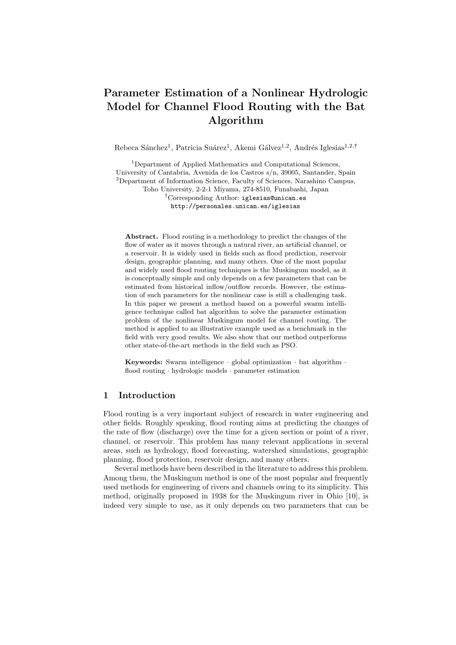# Parameter Estimation of a Nonlinear Hydrologic Model for Channel Flood Routing with the Bat Algorithm

Rebeca Sánchez<sup>1</sup>, Patricia Suárez<sup>1</sup>, Akemi Gálvez<sup>1,2</sup>, Andrés Iglesias<sup>1,2,†</sup>

<sup>1</sup>Department of Applied Mathematics and Computational Sciences, University of Cantabria, Avenida de los Castros s/n, 39005, Santander, Spain <sup>2</sup>Department of Information Science, Faculty of Sciences, Narashino Campus, Toho University, 2-2-1 Miyama, 274-8510, Funabashi, Japan : Corresponding Author: iglesias@unican.es http://personales.unican.es/iglesias

Abstract. Flood routing is a methodology to predict the changes of the flow of water as it moves through a natural river, an artificial channel, or a reservoir. It is widely used in fields such as flood prediction, reservoir design, geographic planning, and many others. One of the most popular and widely used flood routing techniques is the Muskingum model, as it is conceptually simple and only depends on a few parameters that can be estimated from historical inflow/outflow records. However, the estimation of such parameters for the nonlinear case is still a challenging task. In this paper we present a method based on a powerful swarm intelligence technique called bat algorithm to solve the parameter estimation problem of the nonlinear Muskingum model for channel routing. The method is applied to an illustrative example used as a benchmark in the field with very good results. We also show that our method outperforms other state-of-the-art methods in the field such as PSO.

Keywords: Swarm intelligence · global optimization · bat algorithm · flood routing  $\cdot$  hydrologic models  $\cdot$  parameter estimation

## 1 Introduction

Flood routing is a very important subject of research in water engineering and other fields. Roughly speaking, flood routing aims at predicting the changes of the rate of flow (discharge) over the time for a given section or point of a river, channel, or reservoir. This problem has many relevant applications in several areas, such as hydrology, flood forecasting, watershed simulations, geographic planning, flood protection, reservoir design, and many others.

Several methods have been described in the literature to address this problem. Among them, the Muskingum method is one of the most popular and frequently used methods for engineering of rivers and channels owing to its simplicity. This method, originally proposed in 1938 for the Muskingum river in Ohio [10], is indeed very simple to use, as it only depends on two parameters that can be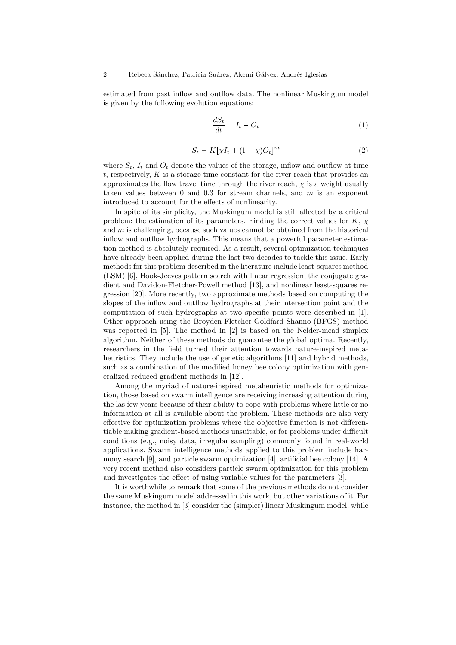estimated from past inflow and outflow data. The nonlinear Muskingum model is given by the following evolution equations:

$$
\frac{dS_t}{dt} = I_t - O_t \tag{1}
$$

$$
S_t = K[\chi I_t + (1 - \chi)O_t]^m \tag{2}
$$

where  $S_t$ ,  $I_t$  and  $O_t$  denote the values of the storage, inflow and outflow at time  $t$ , respectively,  $K$  is a storage time constant for the river reach that provides an approximates the flow travel time through the river reach,  $\chi$  is a weight usually taken values between 0 and 0.3 for stream channels, and  $m$  is an exponent introduced to account for the effects of nonlinearity.

In spite of its simplicity, the Muskingum model is still affected by a critical problem: the estimation of its parameters. Finding the correct values for  $K$ ,  $\chi$ and  $m$  is challenging, because such values cannot be obtained from the historical inflow and outflow hydrographs. This means that a powerful parameter estimation method is absolutely required. As a result, several optimization techniques have already been applied during the last two decades to tackle this issue. Early methods for this problem described in the literature include least-squares method (LSM) [6], Hook-Jeeves pattern search with linear regression, the conjugate gradient and Davidon-Fletcher-Powell method [13], and nonlinear least-squares regression [20]. More recently, two approximate methods based on computing the slopes of the inflow and outflow hydrographs at their intersection point and the computation of such hydrographs at two specific points were described in [1]. Other approach using the Broyden-Fletcher-Goldfard-Shanno (BFGS) method was reported in [5]. The method in [2] is based on the Nelder-mead simplex algorithm. Neither of these methods do guarantee the global optima. Recently, researchers in the field turned their attention towards nature-inspired metaheuristics. They include the use of genetic algorithms [11] and hybrid methods, such as a combination of the modified honey bee colony optimization with generalized reduced gradient methods in [12].

Among the myriad of nature-inspired metaheuristic methods for optimization, those based on swarm intelligence are receiving increasing attention during the las few years because of their ability to cope with problems where little or no information at all is available about the problem. These methods are also very effective for optimization problems where the objective function is not differentiable making gradient-based methods unsuitable, or for problems under difficult conditions (e.g., noisy data, irregular sampling) commonly found in real-world applications. Swarm intelligence methods applied to this problem include harmony search [9], and particle swarm optimization [4], artificial bee colony [14]. A very recent method also considers particle swarm optimization for this problem and investigates the effect of using variable values for the parameters [3].

It is worthwhile to remark that some of the previous methods do not consider the same Muskingum model addressed in this work, but other variations of it. For instance, the method in [3] consider the (simpler) linear Muskingum model, while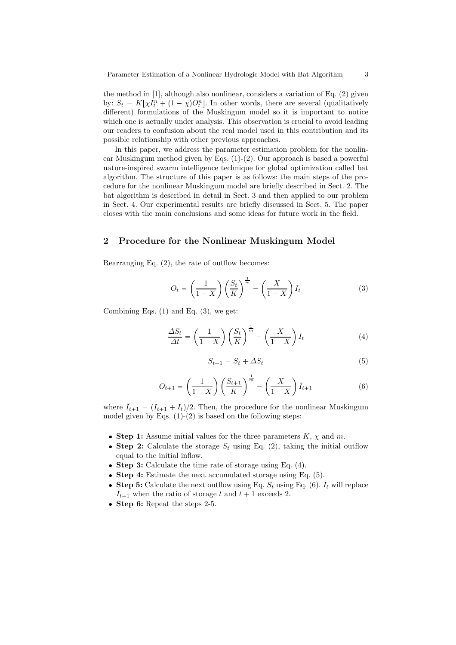the method in [1], although also nonlinear, considers a variation of Eq. (2) given by:  $S_t = K[\chi I_t^n + (1 - \chi)O_t^n]$ . In other words, there are several (qualitatively different) formulations of the Muskingum model so it is important to notice which one is actually under analysis. This observation is crucial to avoid leading our readers to confusion about the real model used in this contribution and its possible relationship with other previous approaches.

In this paper, we address the parameter estimation problem for the nonlinear Muskingum method given by Eqs.  $(1)-(2)$ . Our approach is based a powerful nature-inspired swarm intelligence technique for global optimization called bat algorithm. The structure of this paper is as follows: the main steps of the procedure for the nonlinear Muskingum model are briefly described in Sect. 2. The bat algorithm is described in detail in Sect. 3 and then applied to our problem in Sect. 4. Our experimental results are briefly discussed in Sect. 5. The paper closes with the main conclusions and some ideas for future work in the field.

### 2 Procedure for the Nonlinear Muskingum Model

Rearranging Eq. (2), the rate of outflow becomes:

$$
O_t = \left(\frac{1}{1-X}\right) \left(\frac{S_t}{K}\right)^{\frac{1}{m}} - \left(\frac{X}{1-X}\right) I_t \tag{3}
$$

Combining Eqs.  $(1)$  and Eq.  $(3)$ , we get:

$$
\frac{\Delta S_t}{\Delta t} = \left(\frac{1}{1-X}\right) \left(\frac{S_t}{K}\right)^{\frac{1}{m}} - \left(\frac{X}{1-X}\right) I_t \tag{4}
$$

$$
S_{t+1} = S_t + \Delta S_t \tag{5}
$$

$$
O_{t+1} = \left(\frac{1}{1-X}\right) \left(\frac{S_{t+1}}{K}\right)^{\frac{1}{m}} - \left(\frac{X}{1-X}\right) \bar{I}_{t+1}
$$
 (6)

where  $\bar{I}_{t+1} = (I_{t+1} + I_t)/2$ . Then, the procedure for the nonlinear Muskingum model given by Eqs.  $(1)-(2)$  is based on the following steps:

- Step 1: Assume initial values for the three parameters  $K$ ,  $\chi$  and  $m$ .
- Step 2: Calculate the storage  $S_t$  using Eq. (2), taking the initial outflow equal to the initial inflow.
- Step 3: Calculate the time rate of storage using Eq.  $(4)$ .
- Step 4: Estimate the next accumulated storage using Eq.  $(5)$ .
- Step 5: Calculate the next outflow using Eq.  $S_t$  using Eq. (6).  $I_t$  will replace  $\overline{I}_{t+1}$  when the ratio of storage t and  $t+1$  exceeds 2.
- Step 6: Repeat the steps 2-5.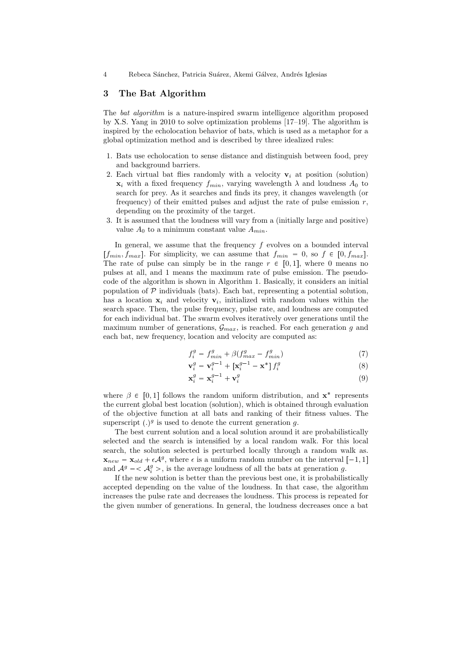4 Rebeca Sánchez, Patricia Suárez, Akemi Gálvez, Andrés Iglesias

#### 3 The Bat Algorithm

The *bat algorithm* is a nature-inspired swarm intelligence algorithm proposed by X.S. Yang in 2010 to solve optimization problems [17–19]. The algorithm is inspired by the echolocation behavior of bats, which is used as a metaphor for a global optimization method and is described by three idealized rules:

- 1. Bats use echolocation to sense distance and distinguish between food, prey and background barriers.
- 2. Each virtual bat flies randomly with a velocity  $v_i$  at position (solution)  $x_i$  with a fixed frequency  $f_{min}$ , varying wavelength  $\lambda$  and loudness  $A_0$  to search for prey. As it searches and finds its prey, it changes wavelength (or frequency) of their emitted pulses and adjust the rate of pulse emission  $r$ , depending on the proximity of the target.
- 3. It is assumed that the loudness will vary from a (initially large and positive) value  $A_0$  to a minimum constant value  $A_{min}$ .

In general, we assume that the frequency  $f$  evolves on a bounded interval  $[f_{min}, f_{max}]$ . For simplicity, we can assume that  $f_{min} = 0$ , so  $f \in [0, f_{max}]$ . The rate of pulse can simply be in the range  $r \in [0, 1]$ , where 0 means no pulses at all, and 1 means the maximum rate of pulse emission. The pseudocode of the algorithm is shown in Algorithm 1. Basically, it considers an initial population of  $P$  individuals (bats). Each bat, representing a potential solution, has a location  $x_i$  and velocity  $v_i$ , initialized with random values within the search space. Then, the pulse frequency, pulse rate, and loudness are computed for each individual bat. The swarm evolves iteratively over generations until the maximum number of generations,  $\mathcal{G}_{max}$ , is reached. For each generation g and each bat, new frequency, location and velocity are computed as:

$$
f_i^g = f_{min}^g + \beta (f_{max}^g - f_{min}^g) \tag{7}
$$

$$
\mathbf{v}_i^g = \mathbf{v}_i^{g-1} + \left[\mathbf{x}_i^{g-1} - \mathbf{x}^*\right] f_i^g \tag{8}
$$

$$
\mathbf{x}_i^g = \mathbf{x}_i^{g-1} + \mathbf{v}_i^g \tag{9}
$$

where  $\beta \in [0,1]$  follows the random uniform distribution, and  $\mathbf{x}^*$  represents the current global best location (solution), which is obtained through evaluation of the objective function at all bats and ranking of their fitness values. The superscript  $(.)^g$  is used to denote the current generation g.

The best current solution and a local solution around it are probabilistically selected and the search is intensified by a local random walk. For this local search, the solution selected is perturbed locally through a random walk as.  $\mathbf{x}_{new} = \mathbf{x}_{old} + \epsilon \mathcal{A}^g$ , where  $\epsilon$  is a uniform random number on the interval  $[-1, 1]$ and  $A^g = \langle A_i^g \rangle$ , is the average loudness of all the bats at generation g.

If the new solution is better than the previous best one, it is probabilistically accepted depending on the value of the loudness. In that case, the algorithm increases the pulse rate and decreases the loudness. This process is repeated for the given number of generations. In general, the loudness decreases once a bat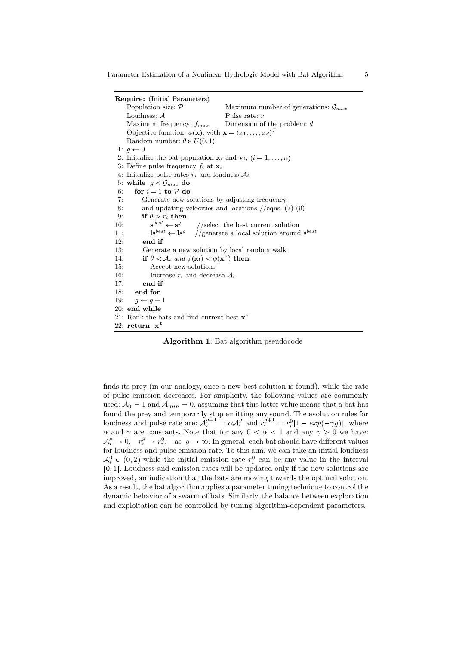Parameter Estimation of a Nonlinear Hydrologic Model with Bat Algorithm 5

|     | <b>Require:</b> (Initial Parameters)                                                |                                                                                                      |  |  |  |  |  |
|-----|-------------------------------------------------------------------------------------|------------------------------------------------------------------------------------------------------|--|--|--|--|--|
|     | Population size: $P$                                                                | Maximum number of generations: $\mathcal{G}_{max}$                                                   |  |  |  |  |  |
|     | Loudness: A                                                                         | Pulse rate: $r$                                                                                      |  |  |  |  |  |
|     | Maximum frequency: $f_{max}$                                                        | Dimension of the problem: $d$                                                                        |  |  |  |  |  |
|     | Objective function: $\phi(\mathbf{x})$ , with $\mathbf{x} = (x_1, \dots, x_d)^T$    |                                                                                                      |  |  |  |  |  |
|     | Random number: $\theta \in U(0, 1)$                                                 |                                                                                                      |  |  |  |  |  |
|     | 1: $q \leftarrow 0$                                                                 |                                                                                                      |  |  |  |  |  |
|     | 2: Initialize the bat population $\mathbf{x}_i$ and $\mathbf{v}_i$ , $(i = 1, , n)$ |                                                                                                      |  |  |  |  |  |
|     | 3: Define pulse frequency $f_i$ at $\mathbf{x}_i$                                   |                                                                                                      |  |  |  |  |  |
|     | 4: Initialize pulse rates $r_i$ and loudness $A_i$                                  |                                                                                                      |  |  |  |  |  |
|     | 5: while $g < \mathcal{G}_{max}$ do                                                 |                                                                                                      |  |  |  |  |  |
| 6:  | for $i = 1$ to $P$ do                                                               |                                                                                                      |  |  |  |  |  |
| 7:  | Generate new solutions by adjusting frequency,                                      |                                                                                                      |  |  |  |  |  |
| 8:  | and updating velocities and locations $//eqns. (7)-(9)$                             |                                                                                                      |  |  |  |  |  |
| 9:  | if $\theta > r_i$ then                                                              |                                                                                                      |  |  |  |  |  |
| 10: | $\mathbf{s}^{best} \leftarrow \mathbf{s}^{g}$                                       | $//select the best current solution$                                                                 |  |  |  |  |  |
| 11: |                                                                                     | $\mathbf{ls}^{best} \leftarrow \mathbf{ls}^g$ //generate a local solution around $\mathbf{s}^{best}$ |  |  |  |  |  |
| 12: | end if                                                                              |                                                                                                      |  |  |  |  |  |
| 13: | Generate a new solution by local random walk                                        |                                                                                                      |  |  |  |  |  |
| 14: | if $\theta < A_i$ and $\phi(\mathbf{x_i}) < \phi(\mathbf{x^*})$ then                |                                                                                                      |  |  |  |  |  |
| 15: | Accept new solutions                                                                |                                                                                                      |  |  |  |  |  |
| 16: | Increase $r_i$ and decrease $A_i$                                                   |                                                                                                      |  |  |  |  |  |
| 17: | end if                                                                              |                                                                                                      |  |  |  |  |  |
| 18: | end for                                                                             |                                                                                                      |  |  |  |  |  |
| 19: | $g \leftarrow g + 1$                                                                |                                                                                                      |  |  |  |  |  |
|     | 20: end while                                                                       |                                                                                                      |  |  |  |  |  |
|     | 21: Rank the bats and find current best $x^*$                                       |                                                                                                      |  |  |  |  |  |
|     | 22: $return x^*$                                                                    |                                                                                                      |  |  |  |  |  |

Algorithm 1: Bat algorithm pseudocode

finds its prey (in our analogy, once a new best solution is found), while the rate of pulse emission decreases. For simplicity, the following values are commonly used:  $A_0 = 1$  and  $A_{min} = 0$ , assuming that this latter value means that a bat has found the prey and temporarily stop emitting any sound. The evolution rules for loudness and pulse rate are:  $A_i^{g+1} = \alpha A_i^g$  and  $r_i^{g+1} = r_i^0 [1 - exp(-\gamma g)]$ , where  $\alpha$  and  $\gamma$  are constants. Note that for any  $0 < \alpha < 1$  and any  $\gamma > 0$  we have:  $\mathcal{A}_i^g \to 0$ ,  $r_i^g \to r_i^0$ , as  $g \to \infty$ . In general, each bat should have different values for loudness and pulse emission rate. To this aim, we can take an initial loudness  $\mathcal{A}_i^0 \in (0, 2)$  while the initial emission rate  $r_i^0$  can be any value in the interval  $[0, 1]$ . Loudness and emission rates will be updated only if the new solutions are improved, an indication that the bats are moving towards the optimal solution. As a result, the bat algorithm applies a parameter tuning technique to control the dynamic behavior of a swarm of bats. Similarly, the balance between exploration and exploitation can be controlled by tuning algorithm-dependent parameters.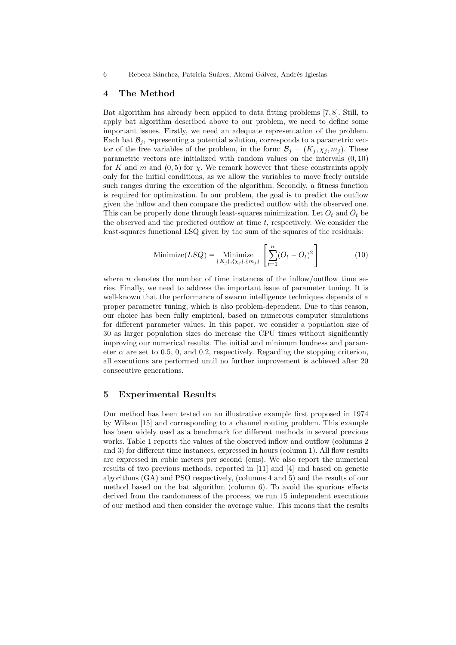6 Rebeca Sánchez, Patricia Suárez, Akemi Gálvez, Andrés Iglesias

#### 4 The Method

Bat algorithm has already been applied to data fitting problems [7, 8]. Still, to apply bat algorithm described above to our problem, we need to define some important issues. Firstly, we need an adequate representation of the problem. Each bat  $\mathcal{B}_i$ , representing a potential solution, corresponds to a parametric vector of the free variables of the problem, in the form:  $\mathcal{B}_j = (K_j, \chi_j, m_j)$ . These parametric vectors are initialized with random values on the intervals  $(0, 10)$ for K and m and  $(0, 5)$  for  $\chi$ . We remark however that these constraints apply only for the initial conditions, as we allow the variables to move freely outside such ranges during the execution of the algorithm. Secondly, a fitness function is required for optimization. In our problem, the goal is to predict the outflow given the inflow and then compare the predicted outflow with the observed one. This can be properly done through least-squares minimization. Let  $O_t$  and  $\overline{O}_t$  be the observed and the predicted outflow at time  $t$ , respectively. We consider the least-squares functional LSQ given by the sum of the squares of the residuals:

$$
\text{Minimize} (LSQ) = \underset{\{K_j\}, \{\chi_j\}, \{m_j\}}{\text{Minimize}} \left[ \sum_{t=1}^n (O_t - \bar{O}_t)^2 \right] \tag{10}
$$

where  $n$  denotes the number of time instances of the inflow/outflow time series. Finally, we need to address the important issue of parameter tuning. It is well-known that the performance of swarm intelligence techniques depends of a proper parameter tuning, which is also problem-dependent. Due to this reason, our choice has been fully empirical, based on numerous computer simulations for different parameter values. In this paper, we consider a population size of 30 as larger population sizes do increase the CPU times without significantly improving our numerical results. The initial and minimum loudness and parameter  $\alpha$  are set to 0.5, 0, and 0.2, respectively. Regarding the stopping criterion, all executions are performed until no further improvement is achieved after 20 consecutive generations.

#### 5 Experimental Results

Our method has been tested on an illustrative example first proposed in 1974 by Wilson [15] and corresponding to a channel routing problem. This example has been widely used as a benchmark for different methods in several previous works. Table 1 reports the values of the observed inflow and outflow (columns 2 and 3) for different time instances, expressed in hours (column 1). All flow results are expressed in cubic meters per second (cms). We also report the numerical results of two previous methods, reported in [11] and [4] and based on genetic algorithms (GA) and PSO respectively, (columns 4 and 5) and the results of our method based on the bat algorithm (column 6). To avoid the spurious effects derived from the randomness of the process, we run 15 independent executions of our method and then consider the average value. This means that the results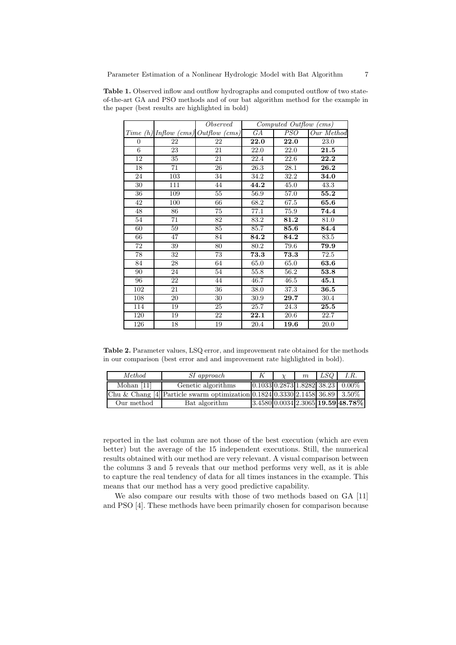|                |     | Observed                              | Computed Outflow (cms) |                   |            |
|----------------|-----|---------------------------------------|------------------------|-------------------|------------|
|                |     | Time $(h)$ Inflow (cms) Outflow (cms) | GА                     | PSO               | Our Method |
| $\overline{0}$ | 22  | 22                                    | 22.0                   | 22.0              | 23.0       |
| 6              | 23  | 21                                    | 22.0                   | 22.0              | 21.5       |
| 12             | 35  | 21                                    | 22.4                   | 22.6              | 22.2       |
| 18             | 71  | 26                                    | 26.3                   | 28.1              | 26.2       |
| 24             | 103 | 34                                    | 34.2                   | 32.2              | 34.0       |
| 30             | 111 | 44                                    | 44.2                   | $\overline{4}5.0$ | 43.3       |
| 36             | 109 | 55                                    | 56.9                   | 57.0              | 55.2       |
| 42             | 100 | 66                                    | 68.2                   | 67.5              | 65.6       |
| 48             | 86  | 75                                    | 77.1                   | 75.9              | 74.4       |
| 54             | 71  | 82                                    | 83.2                   | 81.2              | 81.0       |
| 60             | 59  | 85                                    | 85.7                   | 85.6              | 84.4       |
| 66             | 47  | 84                                    | 84.2                   | 84.2              | 83.5       |
| 72             | 39  | 80                                    | 80.2                   | 79.6              | 79.9       |
| 78             | 32  | 73                                    | 73.3                   | 73.3              | 72.5       |
| 84             | 28  | 64                                    | 65.0                   | 65.0              | 63.6       |
| 90             | 24  | 54                                    | 55.8                   | 56.2              | 53.8       |
| 96             | 22  | 44                                    | 46.7                   | 46.5              | 45.1       |
| 102            | 21  | 36                                    | 38.0                   | 37.3              | 36.5       |
| 108            | 20  | 30                                    | 30.9                   | 29.7              | 30.4       |
| 114            | 19  | 25                                    | 25.7                   | 24.3              | 25.5       |
| 120            | 19  | 22                                    | 22.1                   | 20.6              | 22.7       |
| 126            | 18  | 19                                    | 20.4                   | 19.6              | 20.0       |

Table 1. Observed inflow and outflow hydrographs and computed outflow of two stateof-the-art GA and PSO methods and of our bat algorithm method for the example in the paper (best results are highlighted in bold)

Table 2. Parameter values, LSQ error, and improvement rate obtained for the methods in our comparison (best error and and improvement rate highlighted in bold).

| <i>Method</i> | <i>SI</i> approach                                                                                |  | m | LSQ | I.R.                                 |
|---------------|---------------------------------------------------------------------------------------------------|--|---|-----|--------------------------------------|
| Mohan $[11]$  | Genetic algorithms                                                                                |  |   |     | $[0.1033] 0.2873$ 1.8282 38.23 0.00% |
|               | Chu & Chang [4] Particle swarm optimization $[0.1824]$ $[0.3330]$ $[2.1458]$ $[36.89]$ $[3.50\%]$ |  |   |     |                                      |
| Our method    | Bat algorithm                                                                                     |  |   |     | 3.4580 0.0034 2.3065 19.59 48.78%    |

reported in the last column are not those of the best execution (which are even better) but the average of the 15 independent executions. Still, the numerical results obtained with our method are very relevant. A visual comparison between the columns 3 and 5 reveals that our method performs very well, as it is able to capture the real tendency of data for all times instances in the example. This means that our method has a very good predictive capability.

We also compare our results with those of two methods based on GA [11] and PSO [4]. These methods have been primarily chosen for comparison because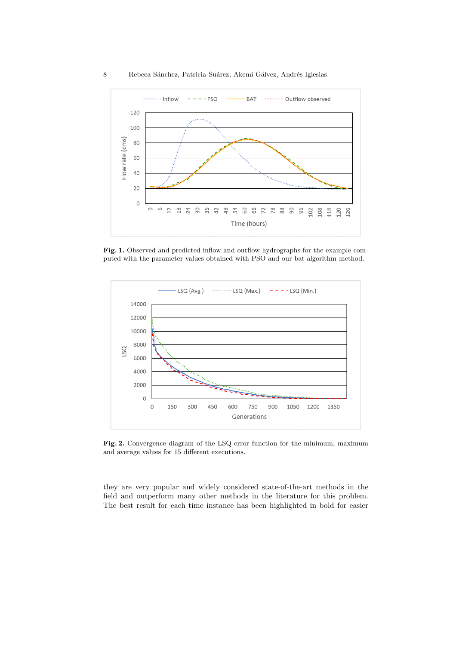



Fig. 1. Observed and predicted inflow and outflow hydrographs for the example computed with the parameter values obtained with PSO and our bat algorithm method.



Fig. 2. Convergence diagram of the LSQ error function for the minimum, maximum and average values for 15 different executions.

they are very popular and widely considered state-of-the-art methods in the field and outperform many other methods in the literature for this problem. The best result for each time instance has been highlighted in bold for easier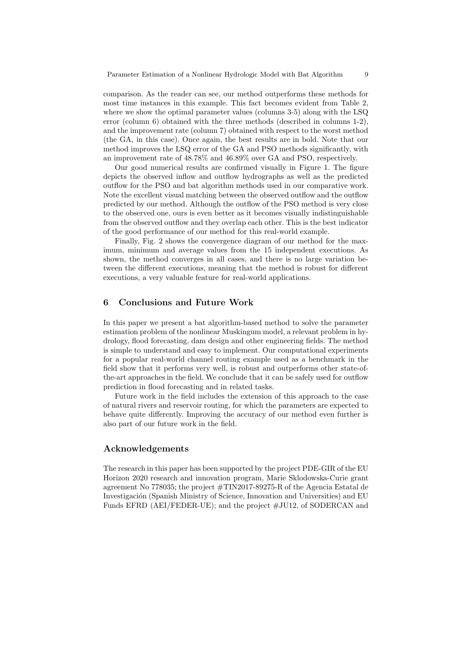comparison. As the reader can see, our method outperforms these methods for most time instances in this example. This fact becomes evident from Table 2, where we show the optimal parameter values (columns 3-5) along with the LSQ error (column 6) obtained with the three methods (described in columns 1-2), and the improvement rate (column 7) obtained with respect to the worst method (the GA, in this case). Once again, the best results are in bold. Note that our method improves the LSQ error of the GA and PSO methods significantly, with an improvement rate of 48.78% and 46.89% over GA and PSO, respectively.

Our good numerical results are confirmed visually in Figure 1. The figure depicts the observed inflow and outflow hydrographs as well as the predicted outflow for the PSO and bat algorithm methods used in our comparative work. Note the excellent visual matching between the observed outflow and the outflow predicted by our method. Although the outflow of the PSO method is very close to the observed one, ours is even better as it becomes visually indistinguishable from the observed outflow and they overlap each other. This is the best indicator of the good performance of our method for this real-world example.

Finally, Fig. 2 shows the convergence diagram of our method for the maximum, minimum and average values from the 15 independent executions. As shown, the method converges in all cases, and there is no large variation between the different executions, meaning that the method is robust for different executions, a very valuable feature for real-world applications.

#### 6 Conclusions and Future Work

In this paper we present a bat algorithm-based method to solve the parameter estimation problem of the nonlinear Muskingum model, a relevant problem in hydrology, flood forecasting, dam design and other engineering fields. The method is simple to understand and easy to implement. Our computational experiments for a popular real-world channel routing example used as a benchmark in the field show that it performs very well, is robust and outperforms other state-ofthe-art approaches in the field. We conclude that it can be safely used for outflow prediction in flood forecasting and in related tasks.

Future work in the field includes the extension of this approach to the case of natural rivers and reservoir routing, for which the parameters are expected to behave quite differently. Improving the accuracy of our method even further is also part of our future work in the field.

#### Acknowledgements

The research in this paper has been supported by the project PDE-GIR of the EU Horizon 2020 research and innovation program, Marie Sklodowska-Curie grant agreement No 778035; the project #TIN2017-89275-R of the Agencia Estatal de Investigación (Spanish Ministry of Science, Innovation and Universities) and EU Funds EFRD (AEI/FEDER-UE); and the project #JU12, of SODERCAN and